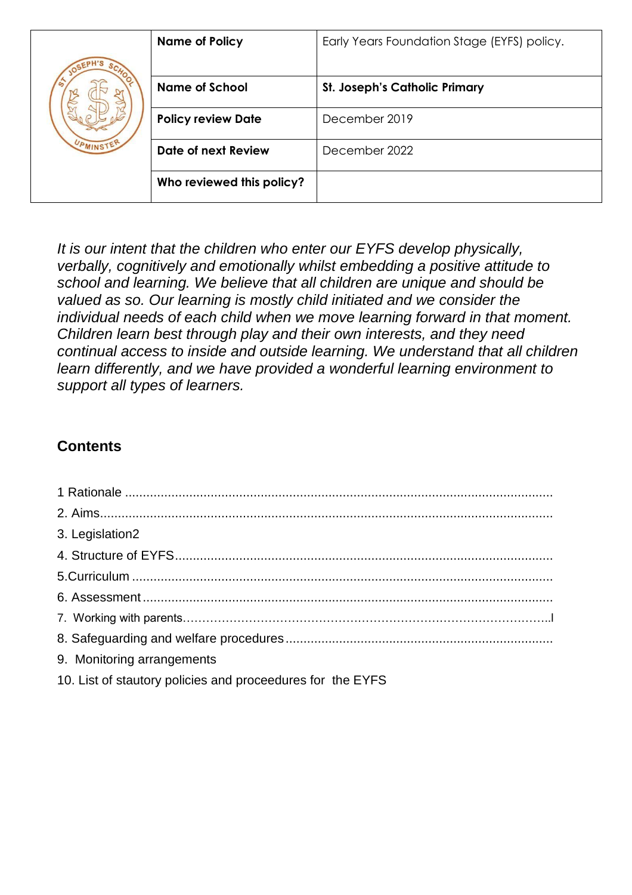|           | <b>Name of Policy</b>     | Early Years Foundation Stage (EYFS) policy. |
|-----------|---------------------------|---------------------------------------------|
|           |                           |                                             |
|           | <b>Name of School</b>     | <b>St. Joseph's Catholic Primary</b>        |
|           | <b>Policy review Date</b> | December 2019                               |
| UPMINSTER | Date of next Review       | December 2022                               |
|           | Who reviewed this policy? |                                             |

*It is our intent that the children who enter our EYFS develop physically, verbally, cognitively and emotionally whilst embedding a positive attitude to school and learning. We believe that all children are unique and should be valued as so. Our learning is mostly child initiated and we consider the individual needs of each child when we move learning forward in that moment. Children learn best through play and their own interests, and they need continual access to inside and outside learning. We understand that all children learn differently, and we have provided a wonderful learning environment to support all types of learners.* 

# **Contents**

| 3. Legislation2                                            |  |  |
|------------------------------------------------------------|--|--|
|                                                            |  |  |
|                                                            |  |  |
|                                                            |  |  |
|                                                            |  |  |
|                                                            |  |  |
| 9. Monitoring arrangements                                 |  |  |
| 10. List of stautory policies and proceedures for the EYFS |  |  |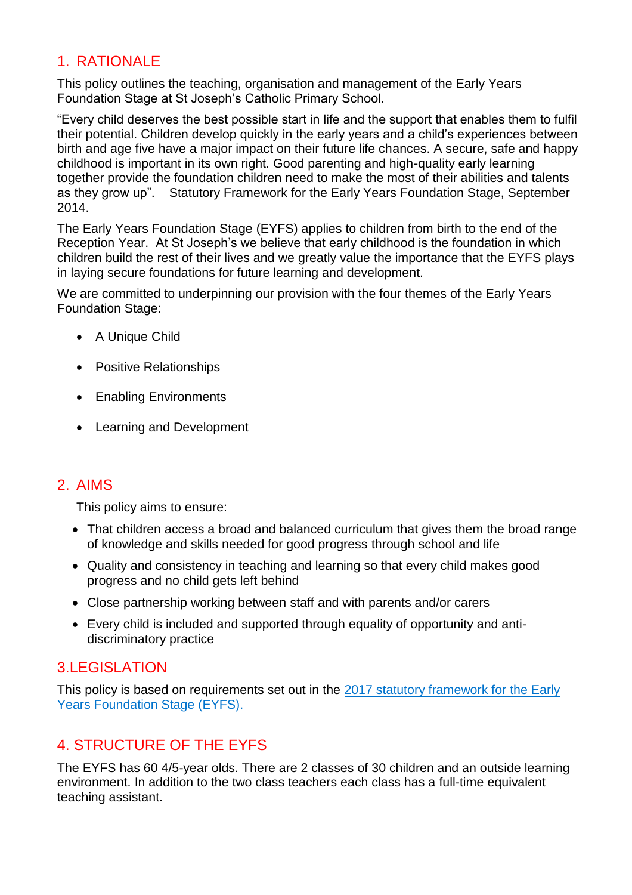## 1. RATIONALE

This policy outlines the teaching, organisation and management of the Early Years Foundation Stage at St Joseph's Catholic Primary School.

"Every child deserves the best possible start in life and the support that enables them to fulfil their potential. Children develop quickly in the early years and a child's experiences between birth and age five have a major impact on their future life chances. A secure, safe and happy childhood is important in its own right. Good parenting and high-quality early learning together provide the foundation children need to make the most of their abilities and talents as they grow up". Statutory Framework for the Early Years Foundation Stage, September 2014.

The Early Years Foundation Stage (EYFS) applies to children from birth to the end of the Reception Year. At St Joseph's we believe that early childhood is the foundation in which children build the rest of their lives and we greatly value the importance that the EYFS plays in laying secure foundations for future learning and development.

We are committed to underpinning our provision with the four themes of the Early Years Foundation Stage:

- A Unique Child
- Positive Relationships
- Enabling Environments
- Learning and Development

#### 2. AIMS

This policy aims to ensure:

- That children access a broad and balanced curriculum that gives them the broad range of knowledge and skills needed for good progress through school and life
- Quality and consistency in teaching and learning so that every child makes good progress and no child gets left behind
- Close partnership working between staff and with parents and/or carers
- Every child is included and supported through equality of opportunity and antidiscriminatory practice

### 3.LEGISLATION

This policy is based on requirements set out in the [2017 statutory framework for the Early](https://www.gov.uk/government/uploads/system/uploads/attachment_data/file/596629/EYFS_STATUTORY_FRAMEWORK_2017.pdf)  [Years Foundation Stage \(EYFS\).](https://www.gov.uk/government/uploads/system/uploads/attachment_data/file/596629/EYFS_STATUTORY_FRAMEWORK_2017.pdf)

### 4. STRUCTURE OF THE EYFS

The EYFS has 60 4/5-year olds. There are 2 classes of 30 children and an outside learning environment. In addition to the two class teachers each class has a full-time equivalent teaching assistant.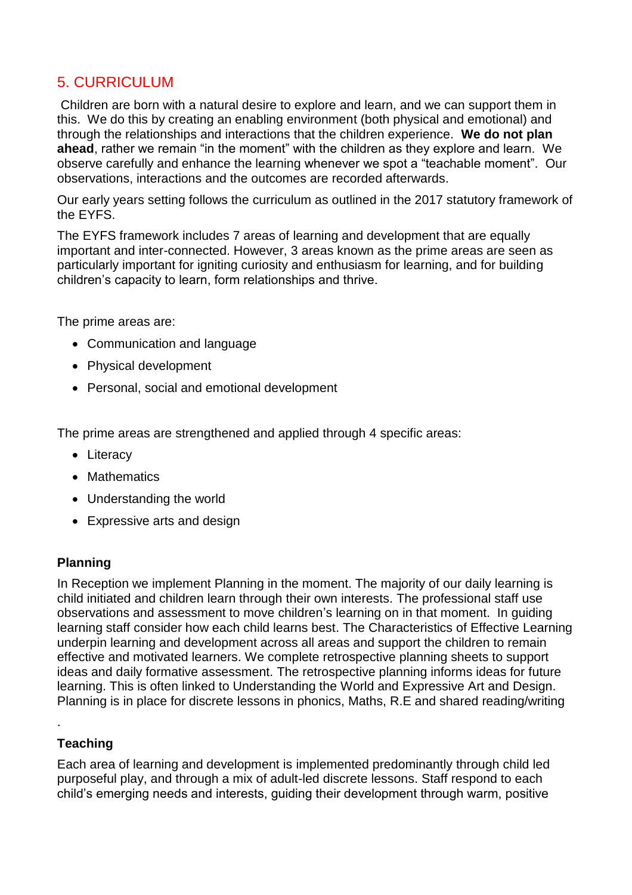## 5. CURRICULUM

Children are born with a natural desire to explore and learn, and we can support them in this. We do this by creating an enabling environment (both physical and emotional) and through the relationships and interactions that the children experience. **We do not plan ahead**, rather we remain "in the moment" with the children as they explore and learn. We observe carefully and enhance the learning whenever we spot a "teachable moment". Our observations, interactions and the outcomes are recorded afterwards.

Our early years setting follows the curriculum as outlined in the 2017 statutory framework of the EYFS.

The EYFS framework includes 7 areas of learning and development that are equally important and inter-connected. However, 3 areas known as the prime areas are seen as particularly important for igniting curiosity and enthusiasm for learning, and for building children's capacity to learn, form relationships and thrive.

The prime areas are:

- Communication and language
- Physical development
- Personal, social and emotional development

The prime areas are strengthened and applied through 4 specific areas:

- Literacy
- Mathematics
- Understanding the world
- Expressive arts and design

#### **Planning**

In Reception we implement Planning in the moment. The majority of our daily learning is child initiated and children learn through their own interests. The professional staff use observations and assessment to move children's learning on in that moment. In guiding learning staff consider how each child learns best. The Characteristics of Effective Learning underpin learning and development across all areas and support the children to remain effective and motivated learners. We complete retrospective planning sheets to support ideas and daily formative assessment. The retrospective planning informs ideas for future learning. This is often linked to Understanding the World and Expressive Art and Design. Planning is in place for discrete lessons in phonics, Maths, R.E and shared reading/writing

#### **Teaching**

.

Each area of learning and development is implemented predominantly through child led purposeful play, and through a mix of adult-led discrete lessons. Staff respond to each child's emerging needs and interests, guiding their development through warm, positive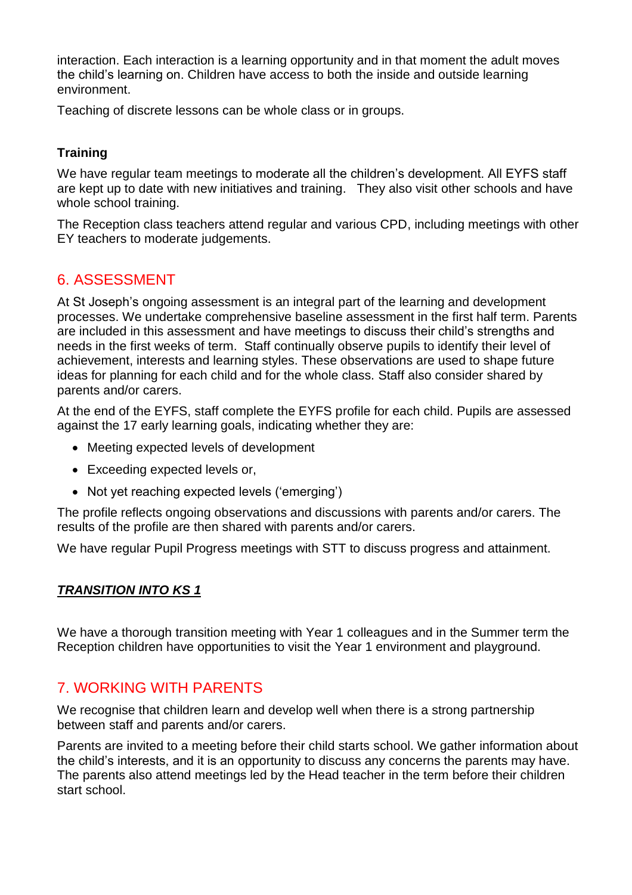interaction. Each interaction is a learning opportunity and in that moment the adult moves the child's learning on. Children have access to both the inside and outside learning environment.

Teaching of discrete lessons can be whole class or in groups.

#### **Training**

We have regular team meetings to moderate all the children's development. All EYFS staff are kept up to date with new initiatives and training. They also visit other schools and have whole school training.

The Reception class teachers attend regular and various CPD, including meetings with other EY teachers to moderate judgements.

### 6. ASSESSMENT

At St Joseph's ongoing assessment is an integral part of the learning and development processes. We undertake comprehensive baseline assessment in the first half term. Parents are included in this assessment and have meetings to discuss their child's strengths and needs in the first weeks of term. Staff continually observe pupils to identify their level of achievement, interests and learning styles. These observations are used to shape future ideas for planning for each child and for the whole class. Staff also consider shared by parents and/or carers.

At the end of the EYFS, staff complete the EYFS profile for each child. Pupils are assessed against the 17 early learning goals, indicating whether they are:

- Meeting expected levels of development
- Exceeding expected levels or,
- Not yet reaching expected levels ('emerging')

The profile reflects ongoing observations and discussions with parents and/or carers. The results of the profile are then shared with parents and/or carers.

We have regular Pupil Progress meetings with STT to discuss progress and attainment.

#### *TRANSITION INTO KS 1*

We have a thorough transition meeting with Year 1 colleagues and in the Summer term the Reception children have opportunities to visit the Year 1 environment and playground.

### 7. WORKING WITH PARENTS

We recognise that children learn and develop well when there is a strong partnership between staff and parents and/or carers.

Parents are invited to a meeting before their child starts school. We gather information about the child's interests, and it is an opportunity to discuss any concerns the parents may have. The parents also attend meetings led by the Head teacher in the term before their children start school.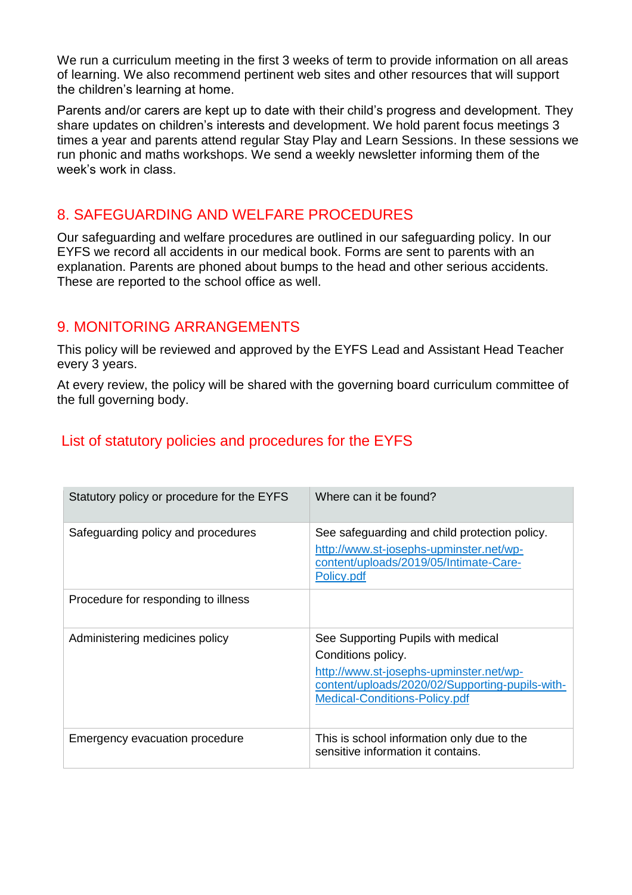We run a curriculum meeting in the first 3 weeks of term to provide information on all areas of learning. We also recommend pertinent web sites and other resources that will support the children's learning at home.

Parents and/or carers are kept up to date with their child's progress and development. They share updates on children's interests and development. We hold parent focus meetings 3 times a year and parents attend regular Stay Play and Learn Sessions. In these sessions we run phonic and maths workshops. We send a weekly newsletter informing them of the week's work in class.

### 8. SAFEGUARDING AND WELFARE PROCEDURES

Our safeguarding and welfare procedures are outlined in our safeguarding policy. In our EYFS we record all accidents in our medical book. Forms are sent to parents with an explanation. Parents are phoned about bumps to the head and other serious accidents. These are reported to the school office as well.

#### 9. MONITORING ARRANGEMENTS

This policy will be reviewed and approved by the EYFS Lead and Assistant Head Teacher every 3 years.

At every review, the policy will be shared with the governing board curriculum committee of the full governing body.

### List of statutory policies and procedures for the EYFS

| Statutory policy or procedure for the EYFS | Where can it be found?                                                                                                                                                                         |
|--------------------------------------------|------------------------------------------------------------------------------------------------------------------------------------------------------------------------------------------------|
| Safeguarding policy and procedures         | See safeguarding and child protection policy.<br>http://www.st-josephs-upminster.net/wp-<br>content/uploads/2019/05/Intimate-Care-<br>Policy.pdf                                               |
| Procedure for responding to illness        |                                                                                                                                                                                                |
| Administering medicines policy             | See Supporting Pupils with medical<br>Conditions policy.<br>http://www.st-josephs-upminster.net/wp-<br>content/uploads/2020/02/Supporting-pupils-with-<br><b>Medical-Conditions-Policy.pdf</b> |
| Emergency evacuation procedure             | This is school information only due to the<br>sensitive information it contains.                                                                                                               |